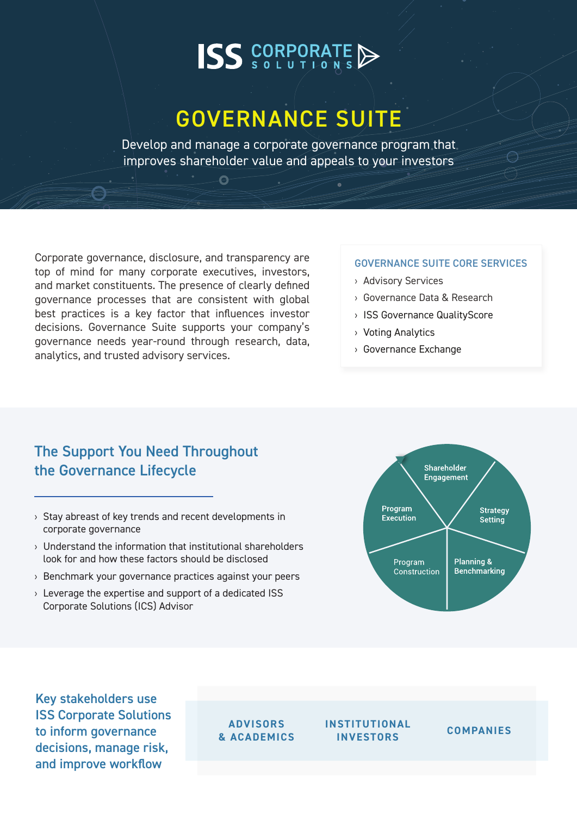# **ISS** CORPORATE

## GOVERNANCE SUITE

Develop and manage a corporate governance program that improves shareholder value and appeals to your investors

Ā

Corporate governance, disclosure, and transparency are top of mind for many corporate executives, investors, and market constituents. The presence of clearly defined governance processes that are consistent with global best practices is a key factor that influences investor decisions. Governance Suite supports your company's governance needs year-round through research, data, analytics, and trusted advisory services.

#### GOVERNANCE SUITE CORE SERVICES

- › Advisory Services
- › Governance Data & Research
- › ISS Governance QualityScore
- › Voting Analytics
- › Governance Exchange

#### The Support You Need Throughout the Governance Lifecycle

- › Stay abreast of key trends and recent developments in corporate governance
- › Understand the information that institutional shareholders look for and how these factors should be disclosed
- › Benchmark your governance practices against your peers
- › Leverage the expertise and support of a dedicated ISS Corporate Solutions (ICS) Advisor



Key stakeholders use ISS Corporate Solutions to inform governance decisions, manage risk, and improve workflow

#### **ADVISORS & ACADEMICS**

**INSTITUTIONAL INVESTORS COMPANIES**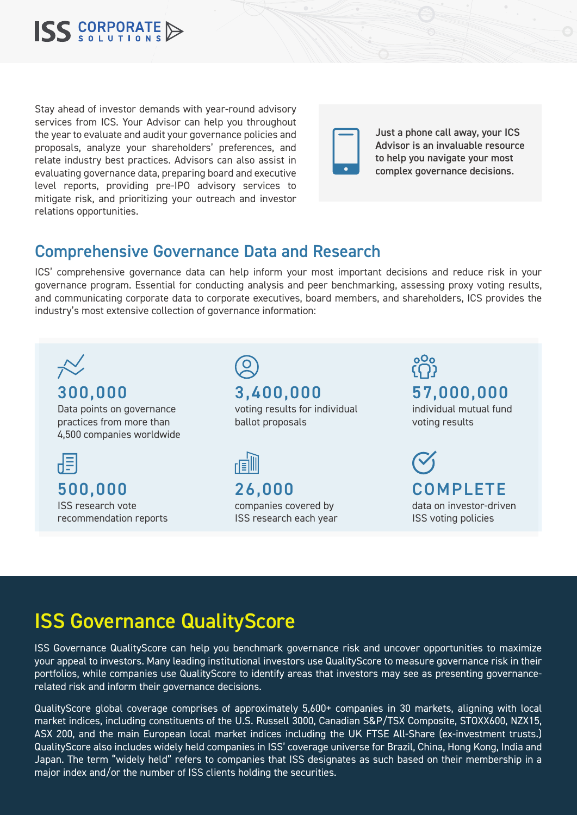

Stay ahead of investor demands with year-round advisory services from ICS. Your Advisor can help you throughout the year to evaluate and audit your governance policies and proposals, analyze your shareholders' preferences, and relate industry best practices. Advisors can also assist in evaluating governance data, preparing board and executive level reports, providing pre-IPO advisory services to mitigate risk, and prioritizing your outreach and investor relations opportunities.



Just a phone call away, your ICS Advisor is an invaluable resource to help you navigate your most complex governance decisions.

### Comprehensive Governance Data and Research

ICS' comprehensive governance data can help inform your most important decisions and reduce risk in your governance program. Essential for conducting analysis and peer benchmarking, assessing proxy voting results, and communicating corporate data to corporate executives, board members, and shareholders, ICS provides the industry's most extensive collection of governance information:



### ISS Governance QualityScore

ISS Governance QualityScore can help you benchmark governance risk and uncover opportunities to maximize your appeal to investors. Many leading institutional investors use QualityScore to measure governance risk in their portfolios, while companies use QualityScore to identify areas that investors may see as presenting governancerelated risk and inform their governance decisions.

QualityScore global coverage comprises of approximately 5,600+ companies in 30 markets, aligning with local market indices, including constituents of the U.S. Russell 3000, Canadian S&P/TSX Composite, STOXX600, NZX15, ASX 200, and the main European local market indices including the UK FTSE All-Share (ex-investment trusts.) QualityScore also includes widely held companies in ISS' coverage universe for Brazil, China, Hong Kong, India and Japan. The term "widely held" refers to companies that ISS designates as such based on their membership in a major index and/or the number of ISS clients holding the securities.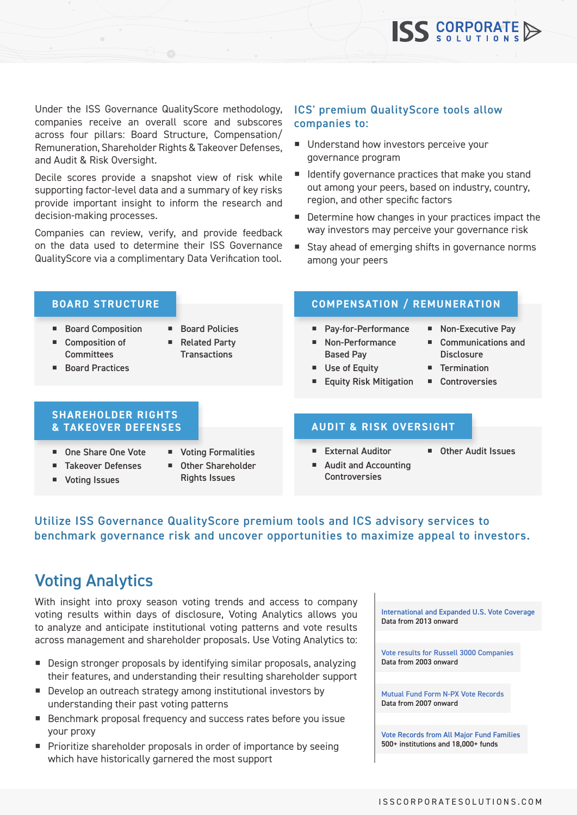Under the ISS Governance QualityScore methodology, companies receive an overall score and subscores across four pillars: Board Structure, Compensation/ Remuneration, Shareholder Rights & Takeover Defenses, and Audit & Risk Oversight.

Decile scores provide a snapshot view of risk while supporting factor-level data and a summary of key risks provide important insight to inform the research and decision-making processes.

Companies can review, verify, and provide feedback on the data used to determine their ISS Governance QualityScore via a complimentary Data Verification tool.

#### ICS' premium QualityScore tools allow companies to:

- Understand how investors perceive your governance program
- **I** Identify governance practices that make you stand out among your peers, based on industry, country, region, and other specific factors
- Determine how changes in your practices impact the way investors may perceive your governance risk
- Stay ahead of emerging shifts in governance norms among your peers

- Board Composition
- Composition of **Committees**
- Board Policies
- Related Party **Transactions**
- Board Practices

#### **BOARD STRUCTURE COMPENSATION / REMUNERATION**

- Pay-for-Performance
- Non-Performance Based Pay
- Use of Equity
- **Equity Risk Mitigation**
- Communications and **Disclosure**

■ Non-Executive Pay

**Termination** 

**ISS** CORPORATE

■ Controversies

## **SHAREHOLDER RIGHTS**

- One Share One Vote
- Takeover Defenses
- **v** Voting Issues
- **Voting Formalities** ■ Other Shareholder
	- Rights Issues

#### **& TAKEOVER DEFENSES AUDIT & RISK OVERSIGHT**

- External Auditor
- Audit and Accounting **Controversies**
- Other Audit Issues
- Utilize ISS Governance QualityScore premium tools and ICS advisory services to benchmark governance risk and uncover opportunities to maximize appeal to investors.

### Voting Analytics

With insight into proxy season voting trends and access to company voting results within days of disclosure, Voting Analytics allows you to analyze and anticipate institutional voting patterns and vote results across management and shareholder proposals. Use Voting Analytics to:

- Design stronger proposals by identifying similar proposals, analyzing their features, and understanding their resulting shareholder support
- Develop an outreach strategy among institutional investors by understanding their past voting patterns
- Benchmark proposal frequency and success rates before you issue your proxy
- **Prioritize shareholder proposals in order of importance by seeing** which have historically garnered the most support

International and Expanded U.S. Vote Coverage Data from 2013 onward

Vote results for Russell 3000 Companies Data from 2003 onward

Mutual Fund Form N-PX Vote Records Data from 2007 onward

Vote Records from All Major Fund Families 500+ institutions and 18,000+ funds